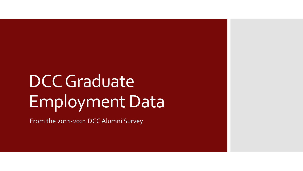# DCC Graduate Employment Data

From the 2011-2021 DCC Alumni Survey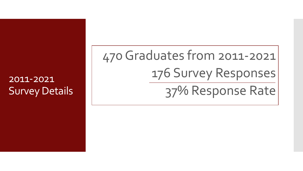## 2011-2021 Survey Details

470 Graduates from 2011-2021 176 Survey Responses

37% Response Rate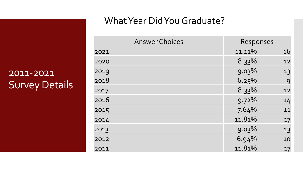## 2011-2021 Survey Details

#### What Year Did You Graduate?

| <b>Answer Choices</b> |  |        | Responses |  |
|-----------------------|--|--------|-----------|--|
| 2021                  |  | 11.11% | 16        |  |
| 2020                  |  | 8.33%  | 12        |  |
| 2019                  |  | 9.03%  | 13        |  |
| 2018                  |  | 6.25%  | 9         |  |
| 2017                  |  | 8.33%  | 12        |  |
| 2016                  |  | 9.72%  | 14        |  |
| 2015                  |  | 7.64%  | 11        |  |
| 2014                  |  | 11.81% | 17        |  |
| 2013                  |  | 9.03%  | 13        |  |
| 2012                  |  | 6.94%  | 10        |  |
| 2011                  |  | 11.81% | 17        |  |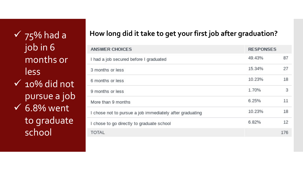job in 6 months or less

 $\checkmark$  10% did not pursue a job  $\sqrt{6.8\% \text{ went}}$ to graduate school

### ü **How long did it take to get your first job after graduation?** 75% had a

| <b>ANSWER CHOICES</b>                                    | <b>RESPONSES</b> |     |
|----------------------------------------------------------|------------------|-----|
| I had a job secured before I graduated                   | 49.43%           | 87  |
| 3 months or less                                         | 15.34%           | 27  |
| 6 months or less                                         | 10.23%           | 18  |
| 9 months or less                                         | 1.70%            | 3   |
| More than 9 months                                       | 6.25%            | 11  |
| I chose not to pursue a job immediately after graduating | 10.23%           | 18  |
| I chose to go directly to graduate school                | 6.82%            | 12  |
| <b>TOTAL</b>                                             |                  | 176 |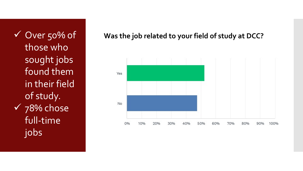those who sought jobs found them in their field of study.  $\sqrt{78\%}$  chose full-time jobs

ü Over 50% of **Was the job related to your field of study at DCC?**

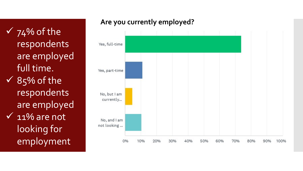$\sqrt{74\%}$  of the respondents are employed full time.  $\sqrt{85\%}$  of the respondents are employed  $\overline{\vee}$  11% are not looking for

employment

#### **Are you currently employed?**

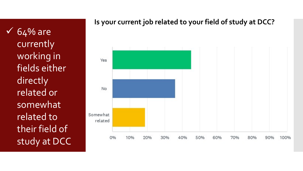$64\%$  are currently working in fields either directly related or somewhat related to their field of study at DCC

#### **Is your current job related to your field of study at DCC?**

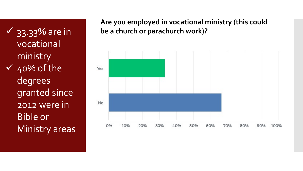vocational ministry  $\sqrt{40\%}$  of the degrees granted since 2012 were in Bible or Ministry areas

**Are you employed in vocational ministry (this could**  ü 33.33% are in **be a church or parachurch work)?**

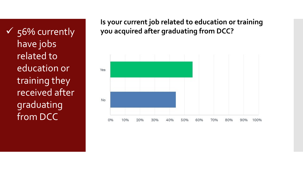have jobs related to education or training they received after graduating from DCC

#### **Is your current job related to education or training**  ü 56% currently **you acquired after graduating from DCC?**